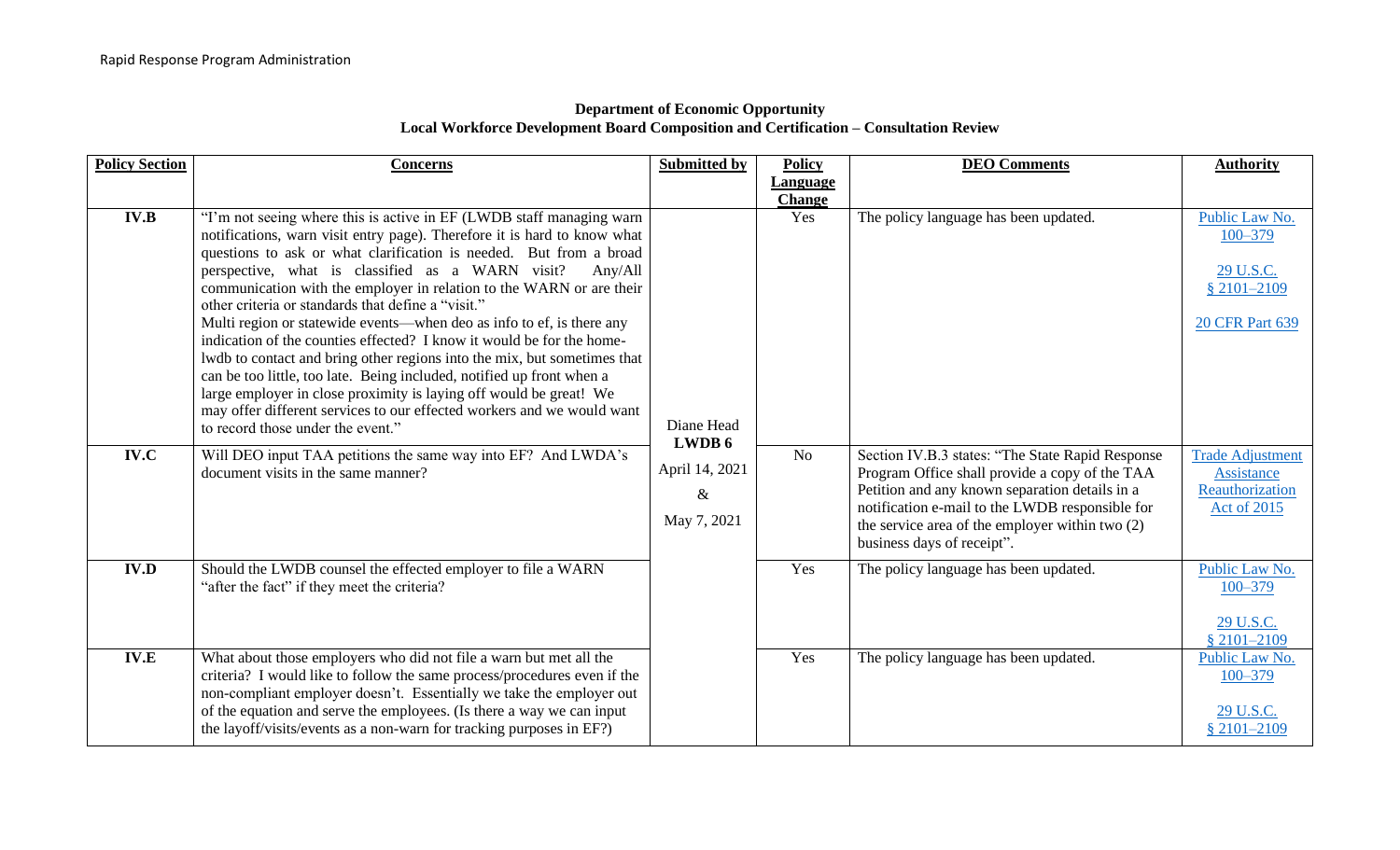## **Department of Economic Opportunity Local Workforce Development Board Composition and Certification – Consultation Review**

| <b>Policy Section</b> | <b>Concerns</b>                                                                                                                                                                                                                                                                                                                                                                                                                                                                                                                                                                                                                                                                                                                                                                                                                                                                                                 | <b>Submitted by</b>                             | <b>Policy</b>   | <b>DEO</b> Comments                                                                                                                                                                                                                                                                      | <b>Authority</b>                                                                       |
|-----------------------|-----------------------------------------------------------------------------------------------------------------------------------------------------------------------------------------------------------------------------------------------------------------------------------------------------------------------------------------------------------------------------------------------------------------------------------------------------------------------------------------------------------------------------------------------------------------------------------------------------------------------------------------------------------------------------------------------------------------------------------------------------------------------------------------------------------------------------------------------------------------------------------------------------------------|-------------------------------------------------|-----------------|------------------------------------------------------------------------------------------------------------------------------------------------------------------------------------------------------------------------------------------------------------------------------------------|----------------------------------------------------------------------------------------|
|                       |                                                                                                                                                                                                                                                                                                                                                                                                                                                                                                                                                                                                                                                                                                                                                                                                                                                                                                                 |                                                 | <b>Language</b> |                                                                                                                                                                                                                                                                                          |                                                                                        |
|                       |                                                                                                                                                                                                                                                                                                                                                                                                                                                                                                                                                                                                                                                                                                                                                                                                                                                                                                                 |                                                 | <b>Change</b>   |                                                                                                                                                                                                                                                                                          |                                                                                        |
| <b>IV.B</b>           | "I'm not seeing where this is active in EF (LWDB staff managing warn<br>notifications, warn visit entry page). Therefore it is hard to know what<br>questions to ask or what clarification is needed. But from a broad<br>perspective, what is classified as a WARN visit?<br>Any/All<br>communication with the employer in relation to the WARN or are their<br>other criteria or standards that define a "visit."<br>Multi region or statewide events—when deo as info to ef, is there any<br>indication of the counties effected? I know it would be for the home-<br>lwdb to contact and bring other regions into the mix, but sometimes that<br>can be too little, too late. Being included, notified up front when a<br>large employer in close proximity is laying off would be great! We<br>may offer different services to our effected workers and we would want<br>to record those under the event." | Diane Head                                      | Yes             | The policy language has been updated.                                                                                                                                                                                                                                                    | Public Law No.<br>$100 - 379$<br>29 U.S.C.<br>$$2101 - 2109$<br><b>20 CFR Part 639</b> |
| IV.C                  | Will DEO input TAA petitions the same way into EF? And LWDA's<br>document visits in the same manner?                                                                                                                                                                                                                                                                                                                                                                                                                                                                                                                                                                                                                                                                                                                                                                                                            | LWDB 6<br>April 14, 2021<br>$\&$<br>May 7, 2021 | N <sub>o</sub>  | Section IV.B.3 states: "The State Rapid Response<br>Program Office shall provide a copy of the TAA<br>Petition and any known separation details in a<br>notification e-mail to the LWDB responsible for<br>the service area of the employer within two (2)<br>business days of receipt". | <b>Trade Adjustment</b><br>Assistance<br>Reauthorization<br>Act of 2015                |
| <b>IV.D</b>           | Should the LWDB counsel the effected employer to file a WARN<br>"after the fact" if they meet the criteria?                                                                                                                                                                                                                                                                                                                                                                                                                                                                                                                                                                                                                                                                                                                                                                                                     |                                                 | Yes             | The policy language has been updated.                                                                                                                                                                                                                                                    | Public Law No.<br>$100 - 379$<br>29 U.S.C.<br>§ 2101-2109                              |
| IV.E                  | What about those employers who did not file a warn but met all the<br>criteria? I would like to follow the same process/procedures even if the<br>non-compliant employer doesn't. Essentially we take the employer out<br>of the equation and serve the employees. (Is there a way we can input<br>the layoff/visits/events as a non-warn for tracking purposes in EF?)                                                                                                                                                                                                                                                                                                                                                                                                                                                                                                                                         |                                                 | Yes             | The policy language has been updated.                                                                                                                                                                                                                                                    | Public Law No.<br>$100 - 379$<br>29 U.S.C.<br>$$2101 - 2109$                           |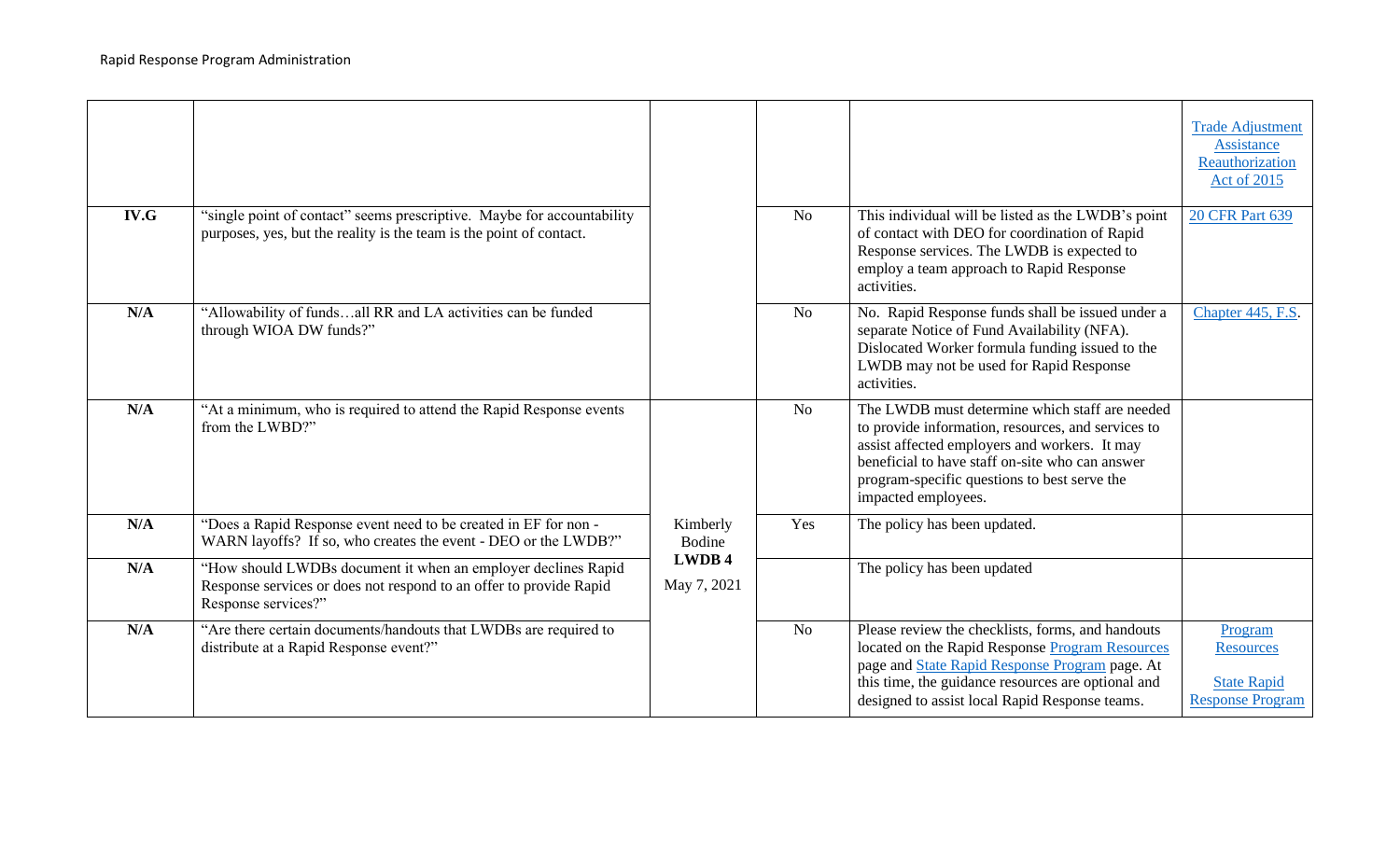|      |                                                                                                                                                            |                                             |                |                                                                                                                                                                                                                                                                                 | <b>Trade Adjustment</b><br>Assistance<br>Reauthorization<br>Act of 2015      |
|------|------------------------------------------------------------------------------------------------------------------------------------------------------------|---------------------------------------------|----------------|---------------------------------------------------------------------------------------------------------------------------------------------------------------------------------------------------------------------------------------------------------------------------------|------------------------------------------------------------------------------|
| IV.G | "single point of contact" seems prescriptive. Maybe for accountability<br>purposes, yes, but the reality is the team is the point of contact.              |                                             | N <sub>o</sub> | This individual will be listed as the LWDB's point<br>of contact with DEO for coordination of Rapid<br>Response services. The LWDB is expected to<br>employ a team approach to Rapid Response<br>activities.                                                                    | <b>20 CFR Part 639</b>                                                       |
| N/A  | "Allowability of fundsall RR and LA activities can be funded<br>through WIOA DW funds?"                                                                    |                                             | N <sub>o</sub> | No. Rapid Response funds shall be issued under a<br>separate Notice of Fund Availability (NFA).<br>Dislocated Worker formula funding issued to the<br>LWDB may not be used for Rapid Response<br>activities.                                                                    | Chapter 445, F.S.                                                            |
| N/A  | "At a minimum, who is required to attend the Rapid Response events<br>from the LWBD?"                                                                      | Kimberly<br>Bodine<br>LWDB 4<br>May 7, 2021 | N <sub>o</sub> | The LWDB must determine which staff are needed<br>to provide information, resources, and services to<br>assist affected employers and workers. It may<br>beneficial to have staff on-site who can answer<br>program-specific questions to best serve the<br>impacted employees. |                                                                              |
| N/A  | "Does a Rapid Response event need to be created in EF for non -<br>WARN layoffs? If so, who creates the event - DEO or the LWDB?"                          |                                             | Yes            | The policy has been updated.                                                                                                                                                                                                                                                    |                                                                              |
| N/A  | "How should LWDBs document it when an employer declines Rapid<br>Response services or does not respond to an offer to provide Rapid<br>Response services?" |                                             |                | The policy has been updated                                                                                                                                                                                                                                                     |                                                                              |
| N/A  | "Are there certain documents/handouts that LWDBs are required to<br>distribute at a Rapid Response event?"                                                 |                                             | N <sub>o</sub> | Please review the checklists, forms, and handouts<br>located on the Rapid Response Program Resources<br>page and State Rapid Response Program page. At<br>this time, the guidance resources are optional and<br>designed to assist local Rapid Response teams.                  | Program<br><b>Resources</b><br><b>State Rapid</b><br><b>Response Program</b> |